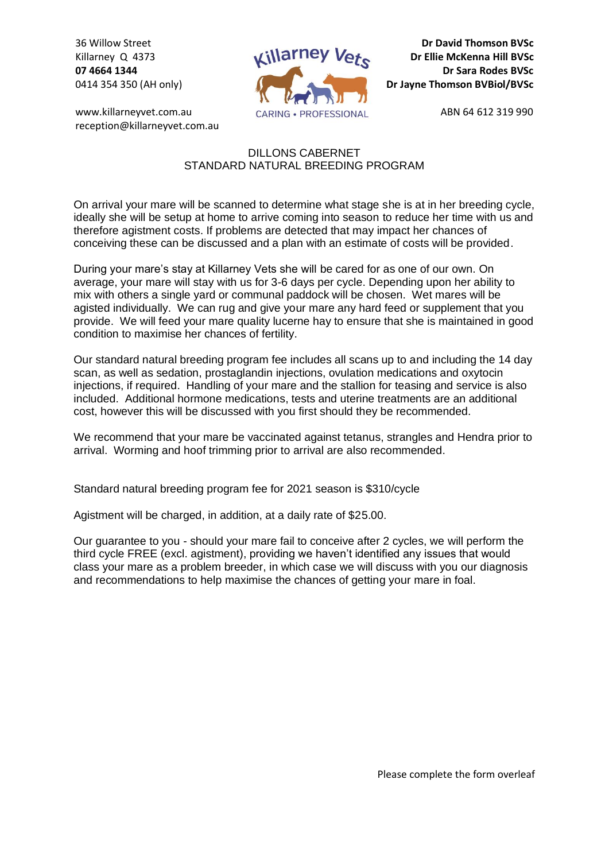36 Willow Street Killarney Q 4373 **07 4664 1344** 0414 354 350 (AH only)

www.killarneyvet.com.au reception@killarneyvet.com.au



**Dr David Thomson BVSc Dr Ellie McKenna Hill BVSc Dr Sara Rodes BVSc Dr Jayne Thomson BVBiol/BVSc**

ABN 64 612 319 990

## DILLONS CABERNET STANDARD NATURAL BREEDING PROGRAM

On arrival your mare will be scanned to determine what stage she is at in her breeding cycle, ideally she will be setup at home to arrive coming into season to reduce her time with us and therefore agistment costs. If problems are detected that may impact her chances of conceiving these can be discussed and a plan with an estimate of costs will be provided.

During your mare's stay at Killarney Vets she will be cared for as one of our own. On average, your mare will stay with us for 3-6 days per cycle. Depending upon her ability to mix with others a single yard or communal paddock will be chosen. Wet mares will be agisted individually. We can rug and give your mare any hard feed or supplement that you provide. We will feed your mare quality lucerne hay to ensure that she is maintained in good condition to maximise her chances of fertility.

Our standard natural breeding program fee includes all scans up to and including the 14 day scan, as well as sedation, prostaglandin injections, ovulation medications and oxytocin injections, if required. Handling of your mare and the stallion for teasing and service is also included. Additional hormone medications, tests and uterine treatments are an additional cost, however this will be discussed with you first should they be recommended.

We recommend that your mare be vaccinated against tetanus, strangles and Hendra prior to arrival. Worming and hoof trimming prior to arrival are also recommended.

Standard natural breeding program fee for 2021 season is \$310/cycle

Agistment will be charged, in addition, at a daily rate of \$25.00.

Our guarantee to you - should your mare fail to conceive after 2 cycles, we will perform the third cycle FREE (excl. agistment), providing we haven't identified any issues that would class your mare as a problem breeder, in which case we will discuss with you our diagnosis and recommendations to help maximise the chances of getting your mare in foal.

Please complete the form overleaf